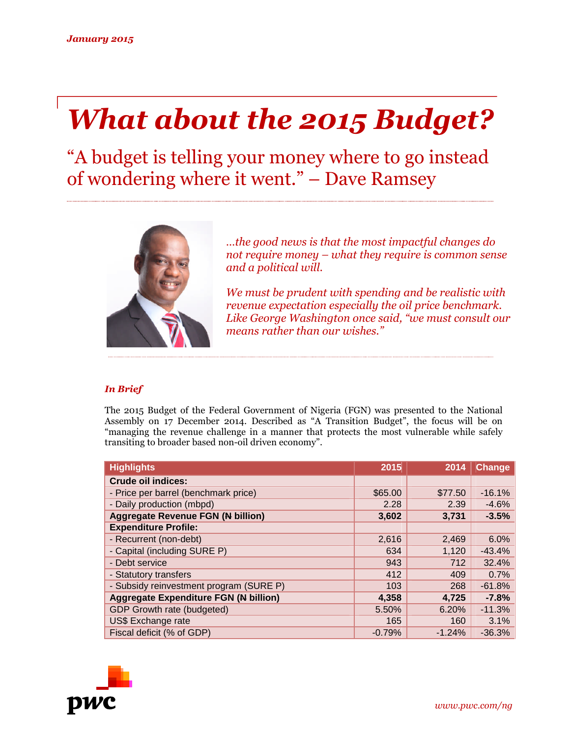# *What about the 2015 Budget?*

"A budget is telling your money where to go instead of wondering where it went." – Dave Ramsey



*…the good news is that the most impactful changes do not require money – what they require is common sense and a political will.*

*We must be prudent with spending and be realistic with revenue expectation especially the oil price benchmark. Like George Washington once said, "we must consult our means rather than our wishes."*

## *In Brief*

The 2015 Budget of the Federal Government of Nigeria (FGN) was presented to the National Assembly on 17 December 2014. Described as "A Transition Budget", the focus will be on "managing the revenue challenge in a manner that protects the most vulnerable while safely transiting to broader based non-oil driven economy".

| <b>Highlights</b>                            | 2015     | 2014     | Change   |
|----------------------------------------------|----------|----------|----------|
| <b>Crude oil indices:</b>                    |          |          |          |
| - Price per barrel (benchmark price)         | \$65.00  | \$77.50  | $-16.1%$ |
| - Daily production (mbpd)                    | 2.28     | 2.39     | $-4.6%$  |
| <b>Aggregate Revenue FGN (N billion)</b>     | 3,602    | 3,731    | $-3.5%$  |
| <b>Expenditure Profile:</b>                  |          |          |          |
| - Recurrent (non-debt)                       | 2,616    | 2,469    | 6.0%     |
| - Capital (including SURE P)                 | 634      | 1,120    | $-43.4%$ |
| - Debt service                               | 943      | 712      | 32.4%    |
| - Statutory transfers                        | 412      | 409      | 0.7%     |
| - Subsidy reinvestment program (SURE P)      | 103      | 268      | $-61.8%$ |
| <b>Aggregate Expenditure FGN (N billion)</b> | 4,358    | 4,725    | $-7.8%$  |
| GDP Growth rate (budgeted)                   | 5.50%    | 6.20%    | $-11.3%$ |
| US\$ Exchange rate                           | 165      | 160      | 3.1%     |
| Fiscal deficit (% of GDP)                    | $-0.79%$ | $-1.24%$ | $-36.3%$ |

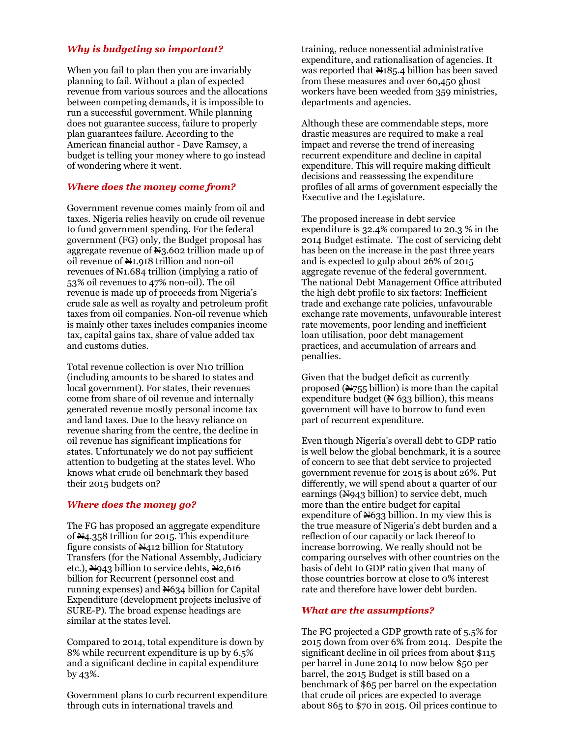## *Why is budgeting so important?*

When you fail to plan then you are invariably planning to fail. Without a plan of expected revenue from various sources and the allocations between competing demands, it is impossible to run a successful government. While planning does not guarantee success, failure to properly plan guarantees failure. According to the American financial author - Dave Ramsey, a budget is telling your money where to go instead of wondering where it went.

#### *Where does the money come from?*

Government revenue comes mainly from oil and taxes. Nigeria relies heavily on crude oil revenue to fund government spending. For the federal government (FG) only, the Budget proposal has aggregate revenue of N3.602 trillion made up of oil revenue of N1.918 trillion and non-oil revenues of  $\mathbb{N}1.684$  trillion (implying a ratio of 53% oil revenues to 47% non-oil). The oil revenue is made up of proceeds from Nigeria's crude sale as well as royalty and petroleum profit taxes from oil companies. Non-oil revenue which is mainly other taxes includes companies income tax, capital gains tax, share of value added tax and customs duties.

Total revenue collection is over N10 trillion (including amounts to be shared to states and local government). For states, their revenues come from share of oil revenue and internally generated revenue mostly personal income tax and land taxes. Due to the heavy reliance on revenue sharing from the centre, the decline in oil revenue has significant implications for states. Unfortunately we do not pay sufficient attention to budgeting at the states level. Who knows what crude oil benchmark they based their 2015 budgets on?

#### *Where does the money go?*

The FG has proposed an aggregate expenditure of N4.358 trillion for 2015. This expenditure figure consists of N412 billion for Statutory Transfers (for the National Assembly, Judiciary etc.),  $N943$  billion to service debts,  $N2,616$ billion for Recurrent (personnel cost and running expenses) and N634 billion for Capital Expenditure (development projects inclusive of SURE-P). The broad expense headings are similar at the states level.

Compared to 2014, total expenditure is down by 8% while recurrent expenditure is up by 6.5% and a significant decline in capital expenditure by 43%.

Government plans to curb recurrent expenditure through cuts in international travels and

training, reduce nonessential administrative expenditure, and rationalisation of agencies. It was reported that  $N185.4$  billion has been saved from these measures and over 60,450 ghost workers have been weeded from 359 ministries, departments and agencies.

Although these are commendable steps, more drastic measures are required to make a real impact and reverse the trend of increasing recurrent expenditure and decline in capital expenditure. This will require making difficult decisions and reassessing the expenditure profiles of all arms of government especially the Executive and the Legislature.

The proposed increase in debt service expenditure is 32.4% compared to 20.3 % in the 2014 Budget estimate. The cost of servicing debt has been on the increase in the past three years and is expected to gulp about 26% of 2015 aggregate revenue of the federal government. The national Debt Management Office attributed the high debt profile to six factors: Inefficient trade and exchange rate policies, unfavourable exchange rate movements, unfavourable interest rate movements, poor lending and inefficient loan utilisation, poor debt management practices, and accumulation of arrears and penalties.

Given that the budget deficit as currently proposed (N755 billion) is more than the capital expenditure budget  $(X 633$  billion), this means government will have to borrow to fund even part of recurrent expenditure.

Even though Nigeria's overall debt to GDP ratio is well below the global benchmark, it is a source of concern to see that debt service to projected government revenue for 2015 is about 26%. Put differently, we will spend about a quarter of our earnings  $(Nq43$  billion) to service debt, much more than the entire budget for capital expenditure of  $\frac{N}{33}$  billion. In my view this is the true measure of Nigeria's debt burden and a reflection of our capacity or lack thereof to increase borrowing. We really should not be comparing ourselves with other countries on the basis of debt to GDP ratio given that many of those countries borrow at close to 0% interest rate and therefore have lower debt burden.

## *What are the assumptions?*

The FG projected a GDP growth rate of 5.5% for 2015 down from over 6% from 2014. Despite the significant decline in oil prices from about \$115 per barrel in June 2014 to now below \$50 per barrel, the 2015 Budget is still based on a benchmark of \$65 per barrel on the expectation that crude oil prices are expected to average about \$65 to \$70 in 2015. Oil prices continue to